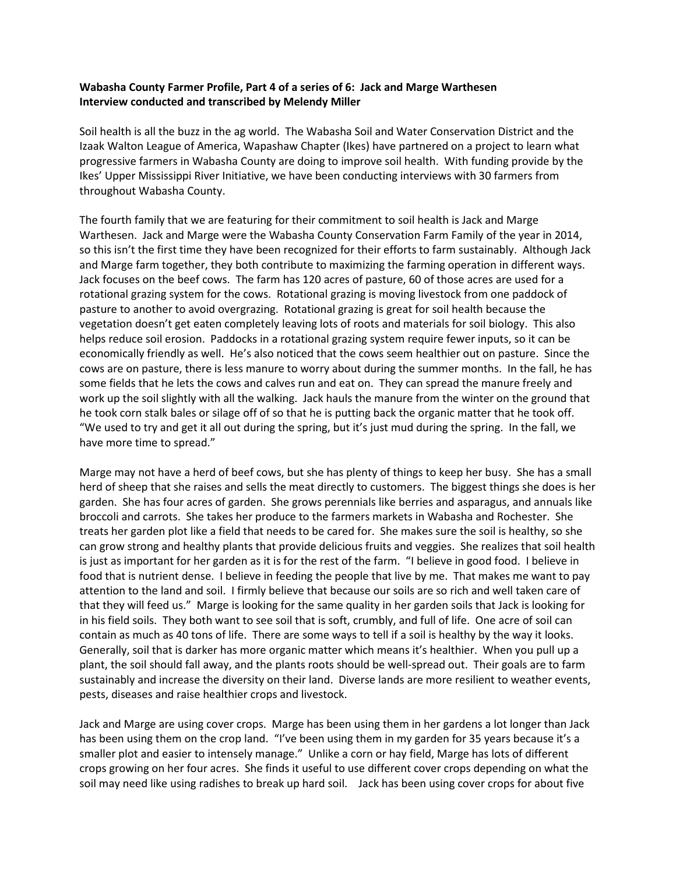## **Wabasha County Farmer Profile, Part 4 of a series of 6: Jack and Marge Warthesen Interview conducted and transcribed by Melendy Miller**

Soil health is all the buzz in the ag world. The Wabasha Soil and Water Conservation District and the Izaak Walton League of America, Wapashaw Chapter (Ikes) have partnered on a project to learn what progressive farmers in Wabasha County are doing to improve soil health. With funding provide by the Ikes' Upper Mississippi River Initiative, we have been conducting interviews with 30 farmers from throughout Wabasha County.

The fourth family that we are featuring for their commitment to soil health is Jack and Marge Warthesen. Jack and Marge were the Wabasha County Conservation Farm Family of the year in 2014, so this isn't the first time they have been recognized for their efforts to farm sustainably. Although Jack and Marge farm together, they both contribute to maximizing the farming operation in different ways. Jack focuses on the beef cows. The farm has 120 acres of pasture, 60 of those acres are used for a rotational grazing system for the cows. Rotational grazing is moving livestock from one paddock of pasture to another to avoid overgrazing. Rotational grazing is great for soil health because the vegetation doesn't get eaten completely leaving lots of roots and materials for soil biology. This also helps reduce soil erosion. Paddocks in a rotational grazing system require fewer inputs, so it can be economically friendly as well. He's also noticed that the cows seem healthier out on pasture. Since the cows are on pasture, there is less manure to worry about during the summer months. In the fall, he has some fields that he lets the cows and calves run and eat on. They can spread the manure freely and work up the soil slightly with all the walking. Jack hauls the manure from the winter on the ground that he took corn stalk bales or silage off of so that he is putting back the organic matter that he took off. "We used to try and get it all out during the spring, but it's just mud during the spring. In the fall, we have more time to spread."

Marge may not have a herd of beef cows, but she has plenty of things to keep her busy. She has a small herd of sheep that she raises and sells the meat directly to customers. The biggest things she does is her garden. She has four acres of garden. She grows perennials like berries and asparagus, and annuals like broccoli and carrots. She takes her produce to the farmers markets in Wabasha and Rochester. She treats her garden plot like a field that needs to be cared for. She makes sure the soil is healthy, so she can grow strong and healthy plants that provide delicious fruits and veggies. She realizes that soil health is just as important for her garden as it is for the rest of the farm. "I believe in good food. I believe in food that is nutrient dense. I believe in feeding the people that live by me. That makes me want to pay attention to the land and soil. I firmly believe that because our soils are so rich and well taken care of that they will feed us." Marge is looking for the same quality in her garden soils that Jack is looking for in his field soils. They both want to see soil that is soft, crumbly, and full of life. One acre of soil can contain as much as 40 tons of life. There are some ways to tell if a soil is healthy by the way it looks. Generally, soil that is darker has more organic matter which means it's healthier. When you pull up a plant, the soil should fall away, and the plants roots should be well-spread out. Their goals are to farm sustainably and increase the diversity on their land. Diverse lands are more resilient to weather events, pests, diseases and raise healthier crops and livestock.

Jack and Marge are using cover crops. Marge has been using them in her gardens a lot longer than Jack has been using them on the crop land. "I've been using them in my garden for 35 years because it's a smaller plot and easier to intensely manage." Unlike a corn or hay field, Marge has lots of different crops growing on her four acres. She finds it useful to use different cover crops depending on what the soil may need like using radishes to break up hard soil. Jack has been using cover crops for about five